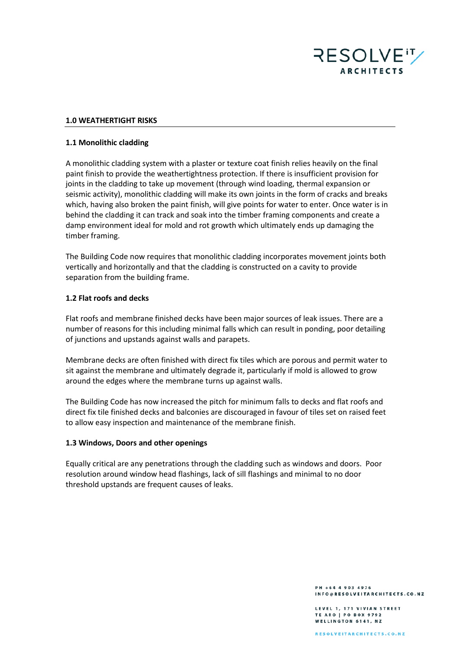

### **1.0 WEATHERTIGHT RISKS**

#### **1.1 Monolithic cladding**

A monolithic cladding system with a plaster or texture coat finish relies heavily on the final paint finish to provide the weathertightness protection. If there is insufficient provision for joints in the cladding to take up movement (through wind loading, thermal expansion or seismic activity), monolithic cladding will make its own joints in the form of cracks and breaks which, having also broken the paint finish, will give points for water to enter. Once water is in behind the cladding it can track and soak into the timber framing components and create a damp environment ideal for mold and rot growth which ultimately ends up damaging the timber framing.

The Building Code now requires that monolithic cladding incorporates movement joints both vertically and horizontally and that the cladding is constructed on a cavity to provide separation from the building frame.

### **1.2 Flat roofs and decks**

Flat roofs and membrane finished decks have been major sources of leak issues. There are a number of reasons for this including minimal falls which can result in ponding, poor detailing of junctions and upstands against walls and parapets.

Membrane decks are often finished with direct fix tiles which are porous and permit water to sit against the membrane and ultimately degrade it, particularly if mold is allowed to grow around the edges where the membrane turns up against walls.

The Building Code has now increased the pitch for minimum falls to decks and flat roofs and direct fix tile finished decks and balconies are discouraged in favour of tiles set on raised feet to allow easy inspection and maintenance of the membrane finish.

#### **1.3 Windows, Doors and other openings**

Equally critical are any penetrations through the cladding such as windows and doors. Poor resolution around window head flashings, lack of sill flashings and minimal to no door threshold upstands are frequent causes of leaks.

> PH +64 4 903 4976 INFO@RESOLVEITARCHITECTS.CO.NZ

LEVEL 1, 171 VIVIAN STREET TE ARO | PO BOX 9792 **WELLINGTON 6141, NZ**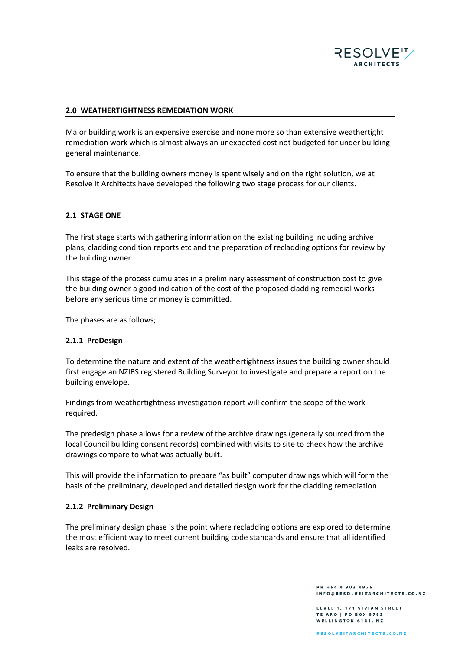

### **2.0 WEATHERTIGHTNESS REMEDIATION WORK**

Major building work is an expensive exercise and none more so than extensive weathertight remediation work which is almost always an unexpected cost not budgeted for under building general maintenance.

To ensure that the building owners money is spent wisely and on the right solution, we at Resolve It Architects have developed the following two stage process for our clients.

### **2.1 STAGE ONE**

The first stage starts with gathering information on the existing building including archive plans, cladding condition reports etc and the preparation of recladding options for review by the building owner.

This stage of the process cumulates in a preliminary assessment of construction cost to give the building owner a good indication of the cost of the proposed cladding remedial works before any serious time or money is committed.

The phases are as follows;

### **2.1.1 PreDesign**

To determine the nature and extent of the weathertightness issues the building owner should first engage an NZIBS registered Building Surveyor to investigate and prepare a report on the building envelope.

Findings from weathertightness investigation report will confirm the scope of the work required.

The predesign phase allows for a review of the archive drawings (generally sourced from the local Council building consent records) combined with visits to site to check how the archive drawings compare to what was actually built.

This will provide the information to prepare "as built" computer drawings which will form the basis of the preliminary, developed and detailed design work for the cladding remediation.

### **2.1.2 Preliminary Design**

The preliminary design phase is the point where recladding options are explored to determine the most efficient way to meet current building code standards and ensure that all identified leaks are resolved.

> PH +64 4 903 4976 INFO@RESOLVEITARCHITECTS.CO.NZ

LEVEL 1, 171 VIVIAN STREET TE ARO | PO BOX 9792 WELLINGTON 6141, NZ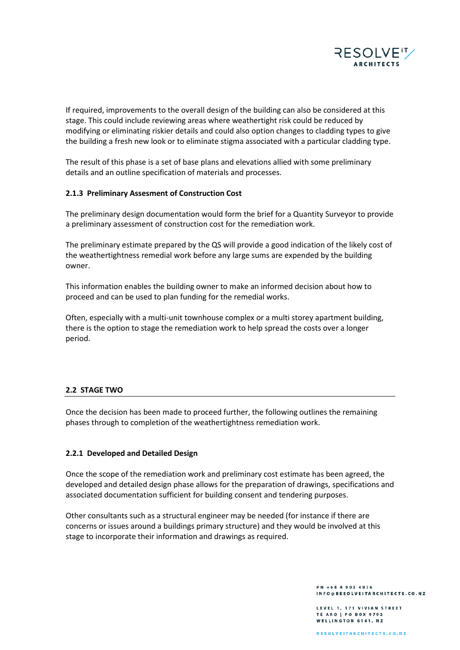

If required, improvements to the overall design of the building can also be considered at this stage. This could include reviewing areas where weathertight risk could be reduced by modifying or eliminating riskier details and could also option changes to cladding types to give the building a fresh new look or to eliminate stigma associated with a particular cladding type.

The result of this phase is a set of base plans and elevations allied with some preliminary details and an outline specification of materials and processes.

## **2.1.3 Preliminary Assesment of Construction Cost**

The preliminary design documentation would form the brief for a Quantity Surveyor to provide a preliminary assessment of construction cost for the remediation work.

The preliminary estimate prepared by the QS will provide a good indication of the likely cost of the weathertightness remedial work before any large sums are expended by the building owner.

This information enables the building owner to make an informed decision about how to proceed and can be used to plan funding for the remedial works.

Often, especially with a multi-unit townhouse complex or a multi storey apartment building, there is the option to stage the remediation work to help spread the costs over a longer period.

## **2.2 STAGE TWO**

Once the decision has been made to proceed further, the following outlines the remaining phases through to completion of the weathertightness remediation work.

### **2.2.1 Developed and Detailed Design**

Once the scope of the remediation work and preliminary cost estimate has been agreed, the developed and detailed design phase allows for the preparation of drawings, specifications and associated documentation sufficient for building consent and tendering purposes.

Other consultants such as a structural engineer may be needed (for instance if there are concerns or issues around a buildings primary structure) and they would be involved at this stage to incorporate their information and drawings as required.

> PH +64 4 903 4976 INFO@RESOLVEITARCHITECTS.CO.NZ

LEVEL 1, 171 VIVIAN STREET TE ARO | PO BOX 9792 WELLINGTON 6141, NZ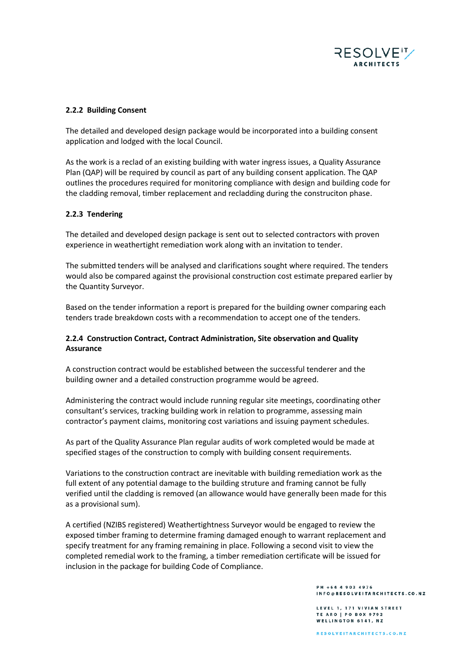

# **2.2.2 Building Consent**

The detailed and developed design package would be incorporated into a building consent application and lodged with the local Council.

As the work is a reclad of an existing building with water ingress issues, a Quality Assurance Plan (QAP) will be required by council as part of any building consent application. The QAP outlines the procedures required for monitoring compliance with design and building code for the cladding removal, timber replacement and recladding during the construciton phase.

# **2.2.3 Tendering**

The detailed and developed design package is sent out to selected contractors with proven experience in weathertight remediation work along with an invitation to tender.

The submitted tenders will be analysed and clarifications sought where required. The tenders would also be compared against the provisional construction cost estimate prepared earlier by the Quantity Surveyor.

Based on the tender information a report is prepared for the building owner comparing each tenders trade breakdown costs with a recommendation to accept one of the tenders.

# **2.2.4 Construction Contract, Contract Administration, Site observation and Quality Assurance**

A construction contract would be established between the successful tenderer and the building owner and a detailed construction programme would be agreed.

Administering the contract would include running regular site meetings, coordinating other consultant's services, tracking building work in relation to programme, assessing main contractor's payment claims, monitoring cost variations and issuing payment schedules.

As part of the Quality Assurance Plan regular audits of work completed would be made at specified stages of the construction to comply with building consent requirements.

Variations to the construction contract are inevitable with building remediation work as the full extent of any potential damage to the building struture and framing cannot be fully verified until the cladding is removed (an allowance would have generally been made for this as a provisional sum).

A certified (NZIBS registered) Weathertightness Surveyor would be engaged to review the exposed timber framing to determine framing damaged enough to warrant replacement and specify treatment for any framing remaining in place. Following a second visit to view the completed remedial work to the framing, a timber remediation certificate will be issued for inclusion in the package for building Code of Compliance.

> PH +64 4 903 4976 INFO@RESOLVEITARCHITECTS.CO.NZ

LEVEL 1, 171 VIVIAN STREET TE ARO | PO BOX 9792 WELLINGTON 6141, NZ